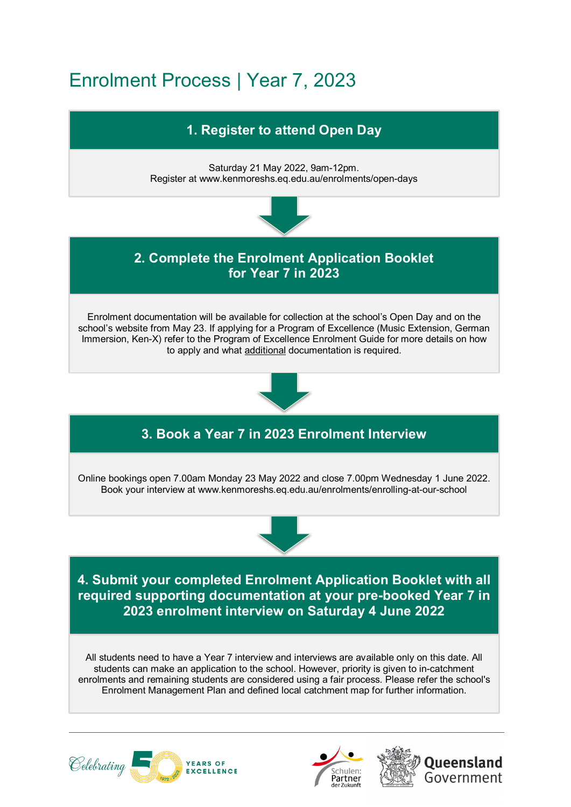## Enrolment Process | Year 7, 2023



enrolments and remaining students are considered using a fair process. Please refer the school's Enrolment Management Plan and defined local catchment map for further information.